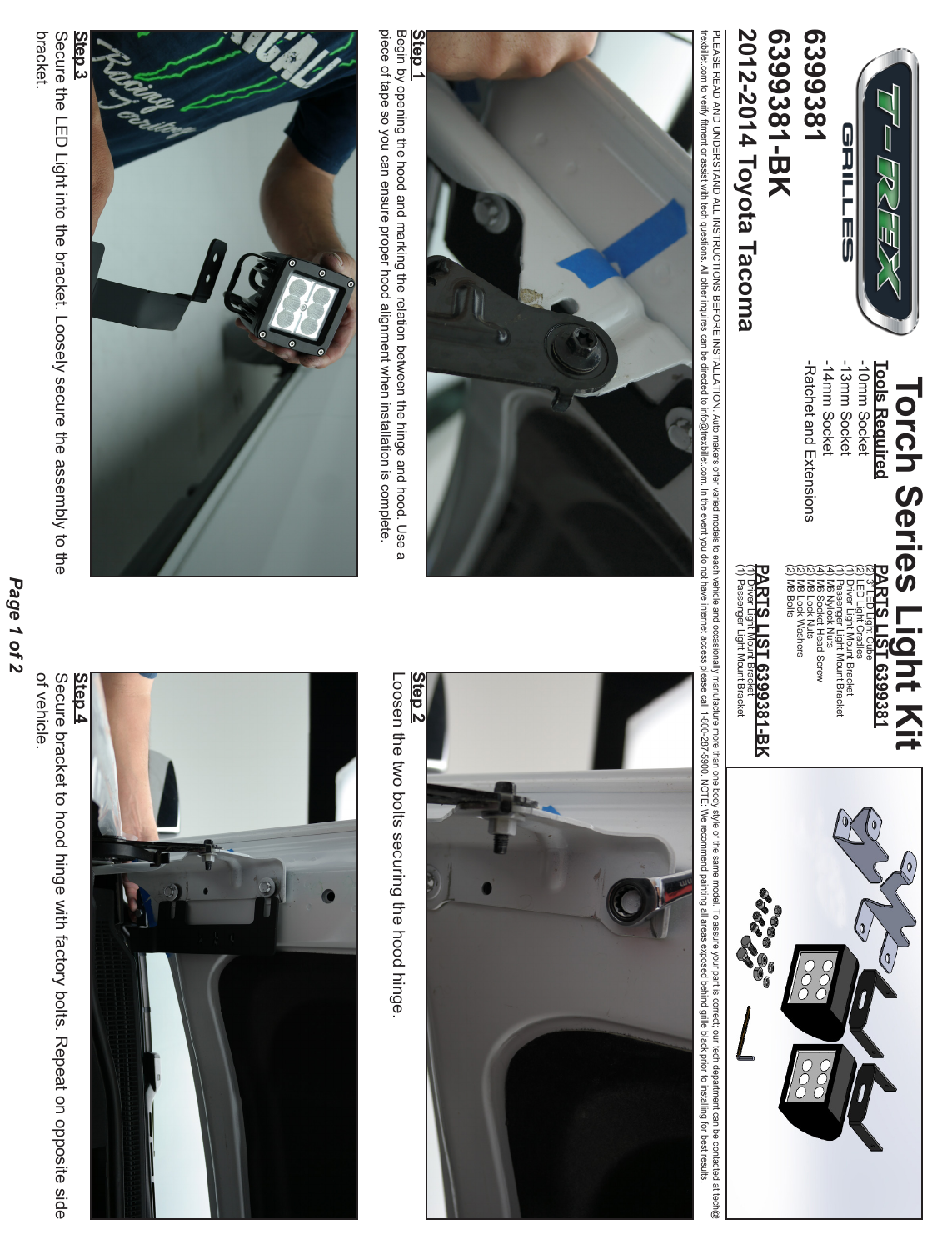

**2012-2014 Toyota Tacoma**

2012-2014 Toyota Tacoma

**6399381-BK**

6399381-BK

## **Torch Series Light Kit<br>and Series Light Kit Torch Series Light Kit**

-14mm Socket -13mm Socket -10mm Socket **Tools Required** -Ratchet and Extensions -Ratchet and Extensions -14mm Socket -13mm Socket -10mm Socket **Tools Required**

(2) M8 Bolts (2) M8 Lock Washers (2) M8 Lock Nuts (4) M6 Socket Head Screw (4) M6 Nylock Nuts (1) Passenger Light Mount Bracket (1) Driver Light Mount Bracket (2) LED Light Cradles (2) 3" LED Light Cube **PARTS LIST 6399381** LED Light Cradles



PLEASE READ AND UNDERSTAND ALL INSTRUCTIONS BEFORE INSTALLATION. Auto makes offer varied and and cocasionally manufacture more body style of the same model. To assure your part is correct, our tech department can be contac trexbillet con the saviliar tech questions. All other inquires can be differed to info@trexbillet con in the event you do not have introgite/blinds on the event you. NOTE We recommend painting all areas exposed beind grill PIEASE READ UNDERSTAND ALL INSTRUCTIONS BEFORE INSTALLATION. Auto makers offer variation and orders the same mode is the same mode is the same mode. To ISO ITO REFORE INSTRUCTIONS BEFORE INSTRUCTIONS BEFORE THE CONSTANCE I

(1) Passenger Light Mount Bracket (1) Driver Light Mount Bracket



piece of tape so you can ensure proper hood alignment when installation is complete. Begin by opening the hood and marking the relation between the hinge and hood. Use a piece of tape so you can ensure proper hood alignment when installation is complete. Begin by opening the hood and marking the relation between the hinge and hood. Use a





Loosen the two bolts securing the hood hinge Loosen the two bolts securing the hood hinge.



of vehicle. Secure bracket to hood hinge with factory bolts. Repeat on opposite side of vehicle. Secure bracket to hood hinge with factory bolts. Repeat on opposite side

Page 1 of 2 *Page 1 of 2*